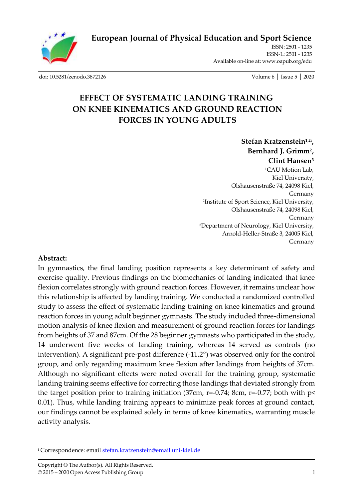

**[European Journal of Physical Education and Sport Science](http://oapub.org/edu/index.php/ejep)**

ISSN: 2501 - 1235 ISSN-L: 2501 - 1235 Available on-line at**:** [www.oapub.org/edu](http://www.oapub.org/edu)

[doi: 10.5281/zenodo.3872126](http://dx.doi.org/10.5281/zenodo.3872126) Volume 6 │ Issue 5 │ 2020

# **EFFECT OF SYSTEMATIC LANDING TRAINING ON KNEE KINEMATICS AND GROUND REACTION FORCES IN YOUNG ADULTS**

**Stefan Kratzenstein1,2i , Bernhard J. Grimm<sup>2</sup> , Clint Hansen<sup>3</sup>** <sup>1</sup>CAU Motion Lab. Kiel University, Olshausenstraße 74, 24098 Kiel, Germany <sup>2</sup>Institute of Sport Science, Kiel University, Olshausenstraße 74, 24098 Kiel, Germany <sup>3</sup>Department of Neurology, Kiel University, Arnold-Heller-Straße 3, 24005 Kiel, Germany

#### **Abstract:**

In gymnastics, the final landing position represents a key determinant of safety and exercise quality. Previous findings on the biomechanics of landing indicated that knee flexion correlates strongly with ground reaction forces. However, it remains unclear how this relationship is affected by landing training. We conducted a randomized controlled study to assess the effect of systematic landing training on knee kinematics and ground reaction forces in young adult beginner gymnasts. The study included three-dimensional motion analysis of knee flexion and measurement of ground reaction forces for landings from heights of 37 and 87cm. Of the 28 beginner gymnasts who participated in the study, 14 underwent five weeks of landing training, whereas 14 served as controls (no intervention). A significant pre-post difference (-11.2°) was observed only for the control group, and only regarding maximum knee flexion after landings from heights of 37cm. Although no significant effects were noted overall for the training group, systematic landing training seems effective for correcting those landings that deviated strongly from the target position prior to training initiation (37cm,  $r=-0.74$ ; 8cm,  $r=-0.77$ ; both with  $p<$ 0.01). Thus, while landing training appears to minimize peak forces at ground contact, our findings cannot be explained solely in terms of knee kinematics, warranting muscle activity analysis.

<sup>i</sup> Correspondence: emai[l stefan.kratzenstein@email.uni-kiel.de](mailto:stefan.kratzenstein@email.uni-kiel.de)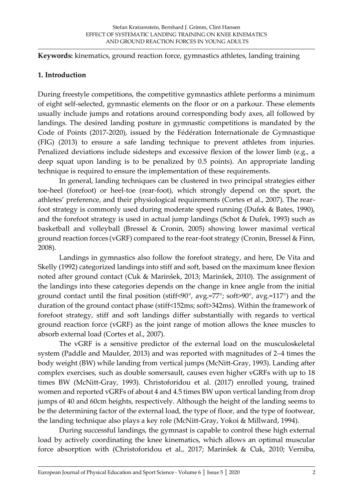**Keywords:** kinematics, ground reaction force, gymnastics athletes, landing training

#### **1. Introduction**

During freestyle competitions, the competitive gymnastics athlete performs a minimum of eight self-selected, gymnastic elements on the floor or on a parkour. These elements usually include jumps and rotations around corresponding body axes, all followed by landings. The desired landing posture in gymnastic competitions is mandated by the Code of Points (2017-2020), issued by the Fédération Internationale de Gymnastique (FIG) (2013) to ensure a safe landing technique to prevent athletes from injuries. Penalized deviations include sidesteps and excessive flexion of the lower limb (e.g., a deep squat upon landing is to be penalized by 0.5 points). An appropriate landing technique is required to ensure the implementation of these requirements.

In general, landing techniques can be clustered in two principal strategies either toe-heel (forefoot) or heel-toe (rear-foot), which strongly depend on the sport, the athletes' preference, and their physiological requirements (Cortes et al., 2007). The rearfoot strategy is commonly used during moderate speed running (Dufek & Bates, 1990), and the forefoot strategy is used in actual jump landings (Schot & Dufek, 1993) such as basketball and volleyball (Bressel & Cronin, 2005) showing lower maximal vertical ground reaction forces (vGRF) compared to the rear-foot strategy (Cronin, Bressel & Finn, 2008).

Landings in gymnastics also follow the forefoot strategy, and here, De Vita and Skelly (1992) categorized landings into stiff and soft, based on the maximum knee flexion noted after ground contact (Čuk & Marinšek, 2013; Marinšek, 2010). The assignment of the landings into these categories depends on the change in knee angle from the initial ground contact until the final position (stiff<90°, avg.=77°; soft>90°, avg.=117°) and the duration of the ground contact phase (stiff<152ms; soft>342ms). Within the framework of forefoot strategy, stiff and soft landings differ substantially with regards to vertical ground reaction force (vGRF) as the joint range of motion allows the knee muscles to absorb external load (Cortes et al., 2007).

The vGRF is a sensitive predictor of the external load on the musculoskeletal system (Paddle and Maulder, 2013) and was reported with magnitudes of 2–4 times the body weight (BW) while landing from vertical jumps (McNitt-Gray, 1993). Landing after complex exercises, such as double somersault, causes even higher vGRFs with up to 18 times BW (McNitt-Gray, 1993). Christoforidou et al. (2017) enrolled young, trained women and reported vGRFs of about 4 and 4.5 times BW upon vertical landing from drop jumps of 40 and 60cm heights, respectively. Although the height of the landing seems to be the determining factor of the external load, the type of floor, and the type of footwear, the landing technique also plays a key role (McNitt-Gray, Yokoi & Millward, 1994).

During successful landings, the gymnast is capable to control these high external load by actively coordinating the knee kinematics, which allows an optimal muscular force absorption with (Christoforidou et al., 2017; Marinšek & Čuk, 2010; Verniba,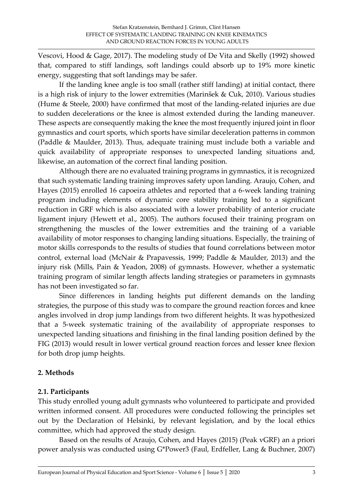Vescovi, Hood & Gage, 2017). The modeling study of De Vita and Skelly (1992) showed that, compared to stiff landings, soft landings could absorb up to 19% more kinetic energy, suggesting that soft landings may be safer.

If the landing knee angle is too small (rather stiff landing) at initial contact, there is a high risk of injury to the lower extremities (Marinšek & Čuk, 2010). Various studies (Hume & Steele, 2000) have confirmed that most of the landing-related injuries are due to sudden decelerations or the knee is almost extended during the landing maneuver. These aspects are consequently making the knee the most frequently injured joint in floor gymnastics and court sports, which sports have similar deceleration patterns in common (Paddle & Maulder, 2013). Thus, adequate training must include both a variable and quick availability of appropriate responses to unexpected landing situations and, likewise, an automation of the correct final landing position.

Although there are no evaluated training programs in gymnastics, it is recognized that such systematic landing training improves safety upon landing. Araujo, Cohen, and Hayes (2015) enrolled 16 capoeira athletes and reported that a 6-week landing training program including elements of dynamic core stability training led to a significant reduction in GRF which is also associated with a lower probability of anterior cruciate ligament injury (Hewett et al., 2005). The authors focused their training program on strengthening the muscles of the lower extremities and the training of a variable availability of motor responses to changing landing situations. Especially, the training of motor skills corresponds to the results of studies that found correlations between motor control, external load (McNair & Prapavessis, 1999; Paddle & Maulder, 2013) and the injury risk (Mills, Pain & Yeadon, 2008) of gymnasts. However, whether a systematic training program of similar length affects landing strategies or parameters in gymnasts has not been investigated so far.

Since differences in landing heights put different demands on the landing strategies, the purpose of this study was to compare the ground reaction forces and knee angles involved in drop jump landings from two different heights. It was hypothesized that a 5-week systematic training of the availability of appropriate responses to unexpected landing situations and finishing in the final landing position defined by the FIG (2013) would result in lower vertical ground reaction forces and lesser knee flexion for both drop jump heights.

#### **2. Methods**

# **2.1. Participants**

This study enrolled young adult gymnasts who volunteered to participate and provided written informed consent. All procedures were conducted following the principles set out by the Declaration of Helsinki, by relevant legislation, and by the local ethics committee, which had approved the study design.

Based on the results of Araujo, Cohen, and Hayes (2015) (Peak vGRF) an a priori power analysis was conducted using G\*Power3 (Faul, Erdfeller, Lang & Buchner, 2007)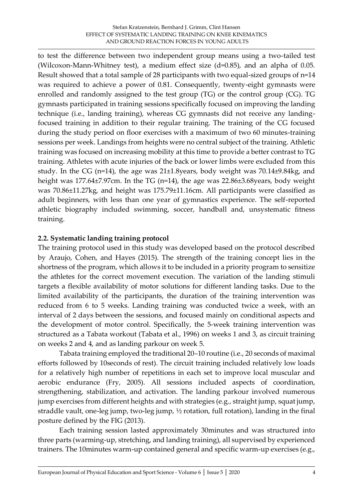to test the difference between two independent group means using a two-tailed test (Wilcoxon-Mann-Whitney test), a medium effect size (d=0.85), and an alpha of 0.05. Result showed that a total sample of 28 participants with two equal-sized groups of n=14 was required to achieve a power of 0.81. Consequently, twenty-eight gymnasts were enrolled and randomly assigned to the test group (TG) or the control group (CG). TG gymnasts participated in training sessions specifically focused on improving the landing technique (i.e., landing training), whereas CG gymnasts did not receive any landingfocused training in addition to their regular training. The training of the CG focused during the study period on floor exercises with a maximum of two 60 minutes-training sessions per week. Landings from heights were no central subject of the training. Athletic training was focused on increasing mobility at this time to provide a better contrast to TG training. Athletes with acute injuries of the back or lower limbs were excluded from this study. In the CG (n=14), the age was 21±1.8years, body weight was 70.14±9.84kg, and height was 177.64±7.97cm. In the TG (n=14), the age was 22.86±3.68years, body weight was 70.86±11.27kg, and height was 175.79±11.16cm. All participants were classified as adult beginners, with less than one year of gymnastics experience. The self-reported athletic biography included swimming, soccer, handball and, unsystematic fitness training.

# **2.2. Systematic landing training protocol**

The training protocol used in this study was developed based on the protocol described by Araujo, Cohen, and Hayes (2015). The strength of the training concept lies in the shortness of the program, which allows it to be included in a priority program to sensitize the athletes for the correct movement execution. The variation of the landing stimuli targets a flexible availability of motor solutions for different landing tasks. Due to the limited availability of the participants, the duration of the training intervention was reduced from 6 to 5 weeks. Landing training was conducted twice a week, with an interval of 2 days between the sessions, and focused mainly on conditional aspects and the development of motor control. Specifically, the 5-week training intervention was structured as a Tabata workout (Tabata et al., 1996) on weeks 1 and 3, as circuit training on weeks 2 and 4, and as landing parkour on week 5.

Tabata training employed the traditional 20–10 routine (i.e., 20 seconds of maximal efforts followed by 10seconds of rest). The circuit training included relatively low loads for a relatively high number of repetitions in each set to improve local muscular and aerobic endurance (Fry, 2005). All sessions included aspects of coordination, strengthening, stabilization, and activation. The landing parkour involved numerous jump exercises from different heights and with strategies (e.g., straight jump, squat jump, straddle vault, one-leg jump, two-leg jump, ½ rotation, full rotation), landing in the final posture defined by the FIG (2013).

Each training session lasted approximately 30minutes and was structured into three parts (warming-up, stretching, and landing training), all supervised by experienced trainers. The 10minutes warm-up contained general and specific warm-up exercises (e.g.,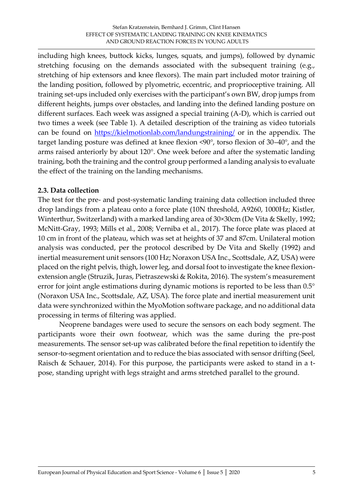including high knees, buttock kicks, lunges, squats, and jumps), followed by dynamic stretching focusing on the demands associated with the subsequent training (e.g., stretching of hip extensors and knee flexors). The main part included motor training of the landing position, followed by plyometric, eccentric, and proprioceptive training. All training set-ups included only exercises with the participant's own BW, drop jumps from different heights, jumps over obstacles, and landing into the defined landing posture on different surfaces. Each week was assigned a special training (A-D), which is carried out two times a week (see Table 1). A detailed description of the training as video tutorials can be found on<https://kielmotionlab.com/landungstraining/> or in the appendix. The target landing posture was defined at knee flexion <90°, torso flexion of 30–40°, and the arms raised anteriorly by about 120°. One week before and after the systematic landing training, both the training and the control group performed a landing analysis to evaluate the effect of the training on the landing mechanisms.

# **2.3. Data collection**

The test for the pre- and post-systematic landing training data collection included three drop landings from a plateau onto a force plate (10N threshold, A9260, 1000Hz; Kistler, Winterthur, Switzerland) with a marked landing area of 30×30cm (De Vita & Skelly, 1992; McNitt-Gray, 1993; Mills et al., 2008; Verniba et al., 2017). The force plate was placed at 10 cm in front of the plateau, which was set at heights of 37 and 87cm. Unilateral motion analysis was conducted, per the protocol described by De Vita and Skelly (1992) and inertial measurement unit sensors (100 Hz; Noraxon USA Inc., Scottsdale, AZ, USA) were placed on the right pelvis, thigh, lower leg, and dorsal foot to investigate the knee flexionextension angle (Struzik, Juras, Pietraszewski & Rokita, 2016). The system's measurement error for joint angle estimations during dynamic motions is reported to be less than 0.5° (Noraxon USA Inc., Scottsdale, AZ, USA). The force plate and inertial measurement unit data were synchronized within the MyoMotion software package, and no additional data processing in terms of filtering was applied.

Neoprene bandages were used to secure the sensors on each body segment. The participants wore their own footwear, which was the same during the pre-post measurements. The sensor set-up was calibrated before the final repetition to identify the sensor-to-segment orientation and to reduce the bias associated with sensor drifting (Seel, Raisch & Schauer, 2014). For this purpose, the participants were asked to stand in a tpose, standing upright with legs straight and arms stretched parallel to the ground.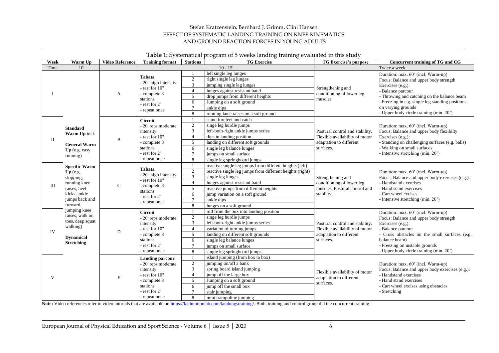#### Stefan Kratzenstein, Bernhard J. Grimm, Clint Hansen EFFECT OF SYSTEMATIC LANDING TRAINING ON KNEE KINEMATICS AND GROUND REACTION FORCES IN YOUNG ADULTS

|           | Table 1: Systematical program of 5 weeks landing training evaluated in this study                                           |                        |                                                                                                                                              |                 |                                                          |                                                                                                           |                                                                                                                                                                                                                                                                     |  |
|-----------|-----------------------------------------------------------------------------------------------------------------------------|------------------------|----------------------------------------------------------------------------------------------------------------------------------------------|-----------------|----------------------------------------------------------|-----------------------------------------------------------------------------------------------------------|---------------------------------------------------------------------------------------------------------------------------------------------------------------------------------------------------------------------------------------------------------------------|--|
| Week      | Warm Up                                                                                                                     | <b>Video Reference</b> | <b>Training format</b>                                                                                                                       | <b>Stations</b> | <b>TG Exercise</b>                                       | <b>TG</b> Exercise's purpose                                                                              | Concurrent training of TG and CG                                                                                                                                                                                                                                    |  |
| Time      | 10'                                                                                                                         |                        |                                                                                                                                              |                 | $10 - 15'$                                               |                                                                                                           | Twice a week                                                                                                                                                                                                                                                        |  |
|           |                                                                                                                             | A                      | <b>Tabata</b><br>- 20" high intensity<br>- rest for 10"<br>- complete 8<br>stations<br>- rest for 2'<br>- repeat once                        |                 | left single leg lunges                                   | Strengthening and<br>conditioning of lower leg<br>muscles                                                 | Duration: max. 60' (incl. Warm-up)<br>Focus: Balance and upper body strength<br>Exercises $(e.g.):$<br>- Balance parcour<br>- Throwing and catching on the balance beam<br>- Freezing in e.g. single leg standing positions<br>on varying grounds                   |  |
|           |                                                                                                                             |                        |                                                                                                                                              | $\overline{c}$  | right single leg lunges                                  |                                                                                                           |                                                                                                                                                                                                                                                                     |  |
|           |                                                                                                                             |                        |                                                                                                                                              | 3               | jumping single leg lunges                                |                                                                                                           |                                                                                                                                                                                                                                                                     |  |
|           |                                                                                                                             |                        |                                                                                                                                              | $\overline{4}$  | lunges against resistant band                            |                                                                                                           |                                                                                                                                                                                                                                                                     |  |
|           |                                                                                                                             |                        |                                                                                                                                              | $\overline{5}$  | drop jumps from different heights                        |                                                                                                           |                                                                                                                                                                                                                                                                     |  |
|           |                                                                                                                             |                        |                                                                                                                                              | 6               | Jumping on a soft ground                                 |                                                                                                           |                                                                                                                                                                                                                                                                     |  |
|           |                                                                                                                             |                        |                                                                                                                                              | $\overline{7}$  | ankle dips                                               |                                                                                                           |                                                                                                                                                                                                                                                                     |  |
|           |                                                                                                                             |                        |                                                                                                                                              | 8               | running knee raises on a soft ground                     |                                                                                                           | - Upper body circle training (min. 20')                                                                                                                                                                                                                             |  |
| П         | <b>Standard</b><br>Warm Up incl.<br><b>General Warm</b><br>Up (e.g. easy<br>running)                                        | B                      | Circuit<br>- 20' reps moderate<br>intensity<br>- rest for 10"<br>- complete 8<br>stations<br>- rest for 2'<br>- repeat once                  |                 | stand forefeet and catch                                 | Postural control and stability.<br>Flexible availability of motor<br>adaptation to different<br>surfaces. | Duration: max. 60' (incl. Warm-up)<br>Focus: Balance and upper body flexibilty<br>Exercises (e.g.):<br>- Standing on challenging surfaces (e.g. balls)<br>- Walking on small surfaces<br>- Intensive stretching (min. 20')                                          |  |
|           |                                                                                                                             |                        |                                                                                                                                              | $\overline{c}$  | singe leg hurdle jumps                                   |                                                                                                           |                                                                                                                                                                                                                                                                     |  |
|           |                                                                                                                             |                        |                                                                                                                                              | 3               | left-both-right ankle jumps series                       |                                                                                                           |                                                                                                                                                                                                                                                                     |  |
|           |                                                                                                                             |                        |                                                                                                                                              | $\overline{4}$  | dips in landing position                                 |                                                                                                           |                                                                                                                                                                                                                                                                     |  |
|           |                                                                                                                             |                        |                                                                                                                                              | 5               | landing on different soft grounds                        |                                                                                                           |                                                                                                                                                                                                                                                                     |  |
|           |                                                                                                                             |                        |                                                                                                                                              | 6               | single leg balance lunges                                |                                                                                                           |                                                                                                                                                                                                                                                                     |  |
|           |                                                                                                                             |                        |                                                                                                                                              | $\tau$          | jumps on small surface                                   |                                                                                                           |                                                                                                                                                                                                                                                                     |  |
|           |                                                                                                                             |                        |                                                                                                                                              | 8               | single leg springboard jumps                             |                                                                                                           |                                                                                                                                                                                                                                                                     |  |
| $\rm III$ | <b>Specific Warm</b><br>Up (e.g.<br>skipping,<br>running knee<br>raises, heel<br>kicks, ankle<br>jumps back and<br>forward. | $\mathbf C$            | <b>Tabata</b><br>- 20" high intensity<br>- rest for 10"<br>- complete 8<br>stations<br>- rest for 2'<br>- repeat once                        | $\overline{1}$  | reactive single leg jumps from different heights (left)  | Strengthening and<br>conditioning of lower leg<br>muscles. Postural control and<br>stability.             | Duration: max. 60' (incl. Warm-up)<br>Focus: Balance and upper body exercises (e.g.):<br>- Handstand exercises<br>- Hand stand exercises<br>- Cart wheel excises<br>- Intensive stretching (min. 20')                                                               |  |
|           |                                                                                                                             |                        |                                                                                                                                              | $\overline{c}$  | reactive single leg jumps from different heights (right) |                                                                                                           |                                                                                                                                                                                                                                                                     |  |
|           |                                                                                                                             |                        |                                                                                                                                              | 3               | single leg lunges                                        |                                                                                                           |                                                                                                                                                                                                                                                                     |  |
|           |                                                                                                                             |                        |                                                                                                                                              | $\overline{4}$  | lunges against resistant band                            |                                                                                                           |                                                                                                                                                                                                                                                                     |  |
|           |                                                                                                                             |                        |                                                                                                                                              | $\overline{5}$  | reactive jumps from different heights                    |                                                                                                           |                                                                                                                                                                                                                                                                     |  |
|           |                                                                                                                             |                        |                                                                                                                                              | 6               | jump variation on a soft ground                          |                                                                                                           |                                                                                                                                                                                                                                                                     |  |
|           |                                                                                                                             |                        |                                                                                                                                              | $\tau$          | ankle dips                                               |                                                                                                           |                                                                                                                                                                                                                                                                     |  |
|           |                                                                                                                             |                        |                                                                                                                                              | 8               | lunges on a soft ground                                  |                                                                                                           |                                                                                                                                                                                                                                                                     |  |
| IV        | jumping knee<br>raises, walk on<br>toes, deep squat<br>walking)<br><b>Dynamical</b><br><b>Stretching</b>                    | D                      | Circuit<br>$\overline{c}$<br>- 20' reps moderate<br>3<br>intensity<br>- rest for 10"<br>$\overline{4}$<br>5<br>- complete 8<br>stations<br>6 | $\mathbf{1}$    | roll from the box into landing position                  | Postural control and stability.<br>Flexible availability of motor<br>adaptation to different<br>surfaces. | Duration: max. 60' (incl. Warm-up)<br>Focus: Balance and upper body strength<br>Exercises (e.g.):<br>- Balance parcour<br>Cross obstacles on the small surfaces (e.g.<br>balance beam)<br>- Freezing on instable grounds<br>- Upper body circle training (min. 20') |  |
|           |                                                                                                                             |                        |                                                                                                                                              |                 | singe leg hurdle jumps                                   |                                                                                                           |                                                                                                                                                                                                                                                                     |  |
|           |                                                                                                                             |                        |                                                                                                                                              |                 | left-both-right ankle jumps series                       |                                                                                                           |                                                                                                                                                                                                                                                                     |  |
|           |                                                                                                                             |                        |                                                                                                                                              |                 | variation of turning jumps                               |                                                                                                           |                                                                                                                                                                                                                                                                     |  |
|           |                                                                                                                             |                        |                                                                                                                                              |                 | landing on different soft grounds                        |                                                                                                           |                                                                                                                                                                                                                                                                     |  |
|           |                                                                                                                             |                        |                                                                                                                                              |                 | single leg balance lunges                                |                                                                                                           |                                                                                                                                                                                                                                                                     |  |
|           |                                                                                                                             |                        | - rest for 2'                                                                                                                                | $\tau$          | jumps on small surface                                   |                                                                                                           |                                                                                                                                                                                                                                                                     |  |
|           |                                                                                                                             |                        | - repeat once                                                                                                                                | $\,8\,$         | single leg springboard jumps                             |                                                                                                           |                                                                                                                                                                                                                                                                     |  |
| V         |                                                                                                                             |                        | <b>Landing parcour</b>                                                                                                                       | -1              | island jumping (from box to box)                         | Flexible availability of motor<br>adaptation to different<br>surfaces.<br>- Stretching                    | Duration: max. 60' (incl. Warm-up)<br>Focus: Balance and upper body exercises (e.g.):<br>- Handstand exercises                                                                                                                                                      |  |
|           |                                                                                                                             |                        | - 20' reps moderate                                                                                                                          | $\overline{2}$  | jumping on/off a bank                                    |                                                                                                           |                                                                                                                                                                                                                                                                     |  |
|           |                                                                                                                             | E                      | intensity                                                                                                                                    | $\overline{3}$  | spring board island jumping                              |                                                                                                           |                                                                                                                                                                                                                                                                     |  |
|           |                                                                                                                             |                        | - rest for 10"                                                                                                                               | $\overline{4}$  | jump off the large box                                   |                                                                                                           |                                                                                                                                                                                                                                                                     |  |
|           |                                                                                                                             |                        | - complete 8                                                                                                                                 | 5               | Jumping on a soft ground                                 |                                                                                                           | - Hand stand exercises                                                                                                                                                                                                                                              |  |
|           |                                                                                                                             |                        | stations                                                                                                                                     | 6               | jump off the small box                                   |                                                                                                           | - Cart wheel excises using obstacles                                                                                                                                                                                                                                |  |
|           |                                                                                                                             |                        | - rest for 2'                                                                                                                                | $\tau$          | stair jumping                                            |                                                                                                           |                                                                                                                                                                                                                                                                     |  |
|           |                                                                                                                             |                        | - repeat once                                                                                                                                | 8               | mini trampoline jumping                                  |                                                                                                           |                                                                                                                                                                                                                                                                     |  |

**Note:** Video references refer to video tutorials that are available on [https://kielmotionlab.com/landungstraining/.](https://kielmotionlab.com/landungstraining/) Both, training and control group did the concurrent training.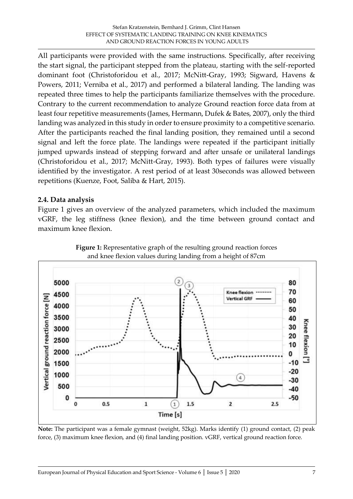All participants were provided with the same instructions. Specifically, after receiving the start signal, the participant stepped from the plateau, starting with the self-reported dominant foot (Christoforidou et al., 2017; McNitt-Gray, 1993; Sigward, Havens & Powers, 2011; Verniba et al., 2017) and performed a bilateral landing. The landing was repeated three times to help the participants familiarize themselves with the procedure. Contrary to the current recommendation to analyze Ground reaction force data from at least four repetitive measurements (James, Hermann, Dufek & Bates, 2007), only the third landing was analyzed in this study in order to ensure proximity to a competitive scenario. After the participants reached the final landing position, they remained until a second signal and left the force plate. The landings were repeated if the participant initially jumped upwards instead of stepping forward and after unsafe or unilateral landings (Christoforidou et al., 2017; McNitt-Gray, 1993). Both types of failures were visually identified by the investigator. A rest period of at least 30seconds was allowed between repetitions (Kuenze, Foot, Saliba & Hart, 2015).

# **2.4. Data analysis**

Figure 1 gives an overview of the analyzed parameters, which included the maximum vGRF, the leg stiffness (knee flexion), and the time between ground contact and maximum knee flexion.





**Note:** The participant was a female gymnast (weight, 52kg). Marks identify (1) ground contact, (2) peak force, (3) maximum knee flexion, and (4) final landing position. vGRF, vertical ground reaction force.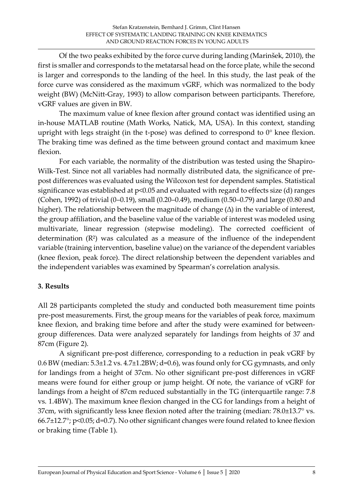Of the two peaks exhibited by the force curve during landing (Marinšek, 2010), the first is smaller and corresponds to the metatarsal head on the force plate, while the second is larger and corresponds to the landing of the heel. In this study, the last peak of the force curve was considered as the maximum vGRF, which was normalized to the body weight (BW) (McNitt-Gray, 1993) to allow comparison between participants. Therefore, vGRF values are given in BW.

The maximum value of knee flexion after ground contact was identified using an in-house MATLAB routine (Math Works, Natick, MA, USA). In this context, standing upright with legs straight (in the t-pose) was defined to correspond to 0° knee flexion. The braking time was defined as the time between ground contact and maximum knee flexion.

For each variable, the normality of the distribution was tested using the Shapiro-Wilk-Test. Since not all variables had normally distributed data, the significance of prepost differences was evaluated using the Wilcoxon test for dependent samples. Statistical significance was established at p<0.05 and evaluated with regard to effects size (d) ranges (Cohen, 1992) of trivial (0–0.19), small (0.20–0.49), medium (0.50–0.79) and large (0.80 and higher). The relationship between the magnitude of change (∆) in the variable of interest, the group affiliation, and the baseline value of the variable of interest was modeled using multivariate, linear regression (stepwise modeling). The corrected coefficient of determination  $(R<sup>2</sup>)$  was calculated as a measure of the influence of the independent variable (training intervention, baseline value) on the variance of the dependent variables (knee flexion, peak force). The direct relationship between the dependent variables and the independent variables was examined by Spearman's correlation analysis.

#### **3. Results**

All 28 participants completed the study and conducted both measurement time points pre-post measurements. First, the group means for the variables of peak force, maximum knee flexion, and braking time before and after the study were examined for betweengroup differences. Data were analyzed separately for landings from heights of 37 and 87cm (Figure 2).

A significant pre-post difference, corresponding to a reduction in peak vGRF by  $0.6$  BW (median:  $5.3\pm1.2$  vs.  $4.7\pm1.2$ BW; d= $0.6$ ), was found only for CG gymnasts, and only for landings from a height of 37cm. No other significant pre-post differences in vGRF means were found for either group or jump height. Of note, the variance of vGRF for landings from a height of 87cm reduced substantially in the TG (interquartile range: 7.8 vs. 1.4BW). The maximum knee flexion changed in the CG for landings from a height of 37cm, with significantly less knee flexion noted after the training (median: 78.0±13.7° vs. 66.7±12.7°; p<0.05; d=0.7). No other significant changes were found related to knee flexion or braking time (Table 1).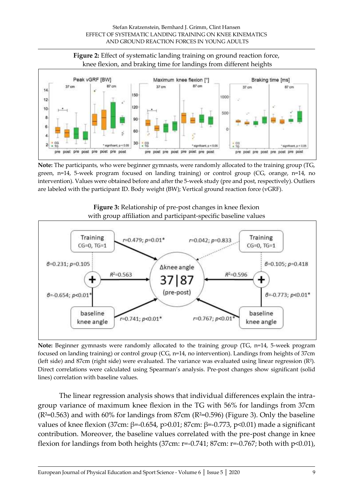

**Note:** The participants, who were beginner gymnasts, were randomly allocated to the training group (TG, green, n=14, 5-week program focused on landing training) or control group (CG, orange, n=14, no intervention). Values were obtained before and after the 5-week study (pre and post, respectively). Outliers are labeled with the participant ID. Body weight (BW); Vertical ground reaction force (vGRF).





**Note:** Beginner gymnasts were randomly allocated to the training group (TG, n=14, 5-week program focused on landing training) or control group (CG, n=14, no intervention). Landings from heights of 37cm (left side) and 87cm (right side) were evaluated. The variance was evaluated using linear regression (R²). Direct correlations were calculated using Spearman's analysis. Pre-post changes show significant (solid lines) correlation with baseline values.

The linear regression analysis shows that individual differences explain the intragroup variance of maximum knee flexion in the TG with 56% for landings from 37cm  $(R<sup>2</sup>=0.563)$  and with 60% for landings from 87cm  $(R<sup>2</sup>=0.596)$  (Figure 3). Only the baseline values of knee flexion (37cm: β=-0.654, p>0.01; 87cm: β=-0.773, p<0.01) made a significant contribution. Moreover, the baseline values correlated with the pre-post change in knee flexion for landings from both heights (37cm:  $r=-0.741$ ; 87cm:  $r=-0.767$ ; both with  $p<0.01$ ),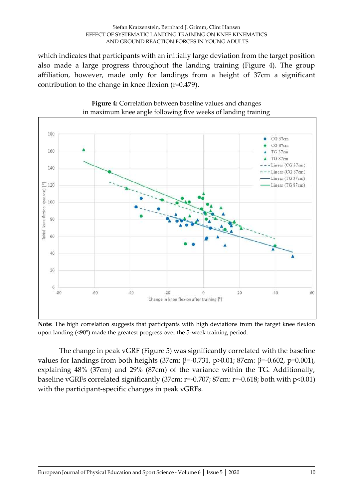which indicates that participants with an initially large deviation from the target position also made a large progress throughout the landing training (Figure 4). The group affiliation, however, made only for landings from a height of 37cm a significant contribution to the change in knee flexion (r=0.479).





**Note:** The high correlation suggests that participants with high deviations from the target knee flexion upon landing (<90°) made the greatest progress over the 5-week training period.

The change in peak vGRF (Figure 5) was significantly correlated with the baseline values for landings from both heights (37cm: β=-0.731, p>0.01; 87cm: β=-0.602, p=0.001), explaining 48% (37cm) and 29% (87cm) of the variance within the TG. Additionally, baseline vGRFs correlated significantly (37cm: r=-0.707; 87cm: r=-0.618; both with p<0.01) with the participant-specific changes in peak vGRFs.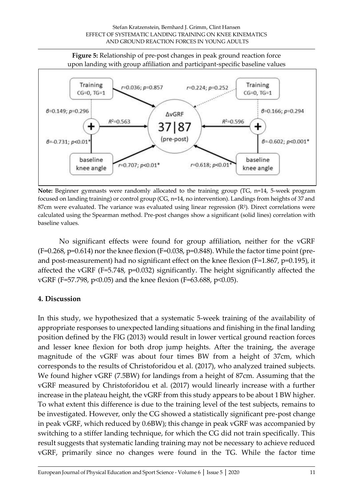

**Note:** Beginner gymnasts were randomly allocated to the training group (TG, n=14, 5-week program focused on landing training) or control group (CG, n=14, no intervention). Landings from heights of 37 and 87cm were evaluated. The variance was evaluated using linear regression  $(R<sup>2</sup>)$ . Direct correlations were calculated using the Spearman method. Pre-post changes show a significant (solid lines) correlation with baseline values.

No significant effects were found for group affiliation, neither for the vGRF  $(F=0.268, p=0.614)$  nor the knee flexion (F=0.038, p=0.848). While the factor time point (preand post-measurement) had no significant effect on the knee flexion (F=1.867, p=0.195), it affected the vGRF (F=5.748, p=0.032) significantly. The height significantly affected the vGRF (F=57.798, p<0.05) and the knee flexion (F=63.688, p<0.05).

#### **4. Discussion**

In this study, we hypothesized that a systematic 5-week training of the availability of appropriate responses to unexpected landing situations and finishing in the final landing position defined by the FIG (2013) would result in lower vertical ground reaction forces and lesser knee flexion for both drop jump heights. After the training, the average magnitude of the vGRF was about four times BW from a height of 37cm, which corresponds to the results of Christoforidou et al. (2017), who analyzed trained subjects. We found higher vGRF (7.5BW) for landings from a height of 87cm. Assuming that the vGRF measured by Christoforidou et al. (2017) would linearly increase with a further increase in the plateau height, the vGRF from this study appears to be about 1 BW higher. To what extent this difference is due to the training level of the test subjects, remains to be investigated. However, only the CG showed a statistically significant pre-post change in peak vGRF, which reduced by 0.6BW); this change in peak vGRF was accompanied by switching to a stiffer landing technique, for which the CG did not train specifically. This result suggests that systematic landing training may not be necessary to achieve reduced vGRF, primarily since no changes were found in the TG. While the factor time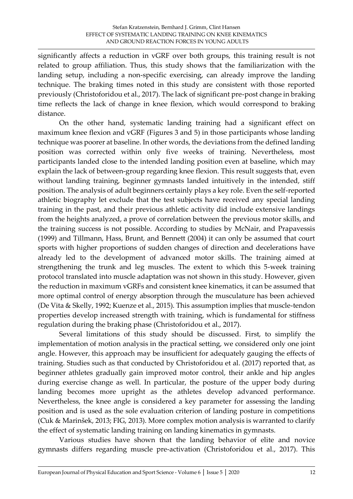significantly affects a reduction in vGRF over both groups, this training result is not related to group affiliation. Thus, this study shows that the familiarization with the landing setup, including a non-specific exercising, can already improve the landing technique. The braking times noted in this study are consistent with those reported previously (Christoforidou et al., 2017). The lack of significant pre-post change in braking time reflects the lack of change in knee flexion, which would correspond to braking distance.

On the other hand, systematic landing training had a significant effect on maximum knee flexion and vGRF (Figures 3 and 5) in those participants whose landing technique was poorer at baseline. In other words, the deviations from the defined landing position was corrected within only five weeks of training. Nevertheless, most participants landed close to the intended landing position even at baseline, which may explain the lack of between-group regarding knee flexion. This result suggests that, even without landing training, beginner gymnasts landed intuitively in the intended, stiff position. The analysis of adult beginners certainly plays a key role. Even the self-reported athletic biography let exclude that the test subjects have received any special landing training in the past, and their previous athletic activity did include extensive landings from the heights analyzed, a prove of correlation between the previous motor skills, and the training success is not possible. According to studies by McNair, and Prapavessis (1999) and Tillmann, Hass, Brunt, and Bennett (2004) it can only be assumed that court sports with higher proportions of sudden changes of direction and decelerations have already led to the development of advanced motor skills. The training aimed at strengthening the trunk and leg muscles. The extent to which this 5-week training protocol translated into muscle adaptation was not shown in this study. However, given the reduction in maximum vGRFs and consistent knee kinematics, it can be assumed that more optimal control of energy absorption through the musculature has been achieved (De Vita & Skelly, 1992; Kuenze et al., 2015). This assumption implies that muscle-tendon properties develop increased strength with training, which is fundamental for stiffness regulation during the braking phase (Christoforidou et al., 2017).

Several limitations of this study should be discussed. First, to simplify the implementation of motion analysis in the practical setting, we considered only one joint angle. However, this approach may be insufficient for adequately gauging the effects of training. Studies such as that conducted by Christoforidou et al. (2017) reported that, as beginner athletes gradually gain improved motor control, their ankle and hip angles during exercise change as well. In particular, the posture of the upper body during landing becomes more upright as the athletes develop advanced performance. Nevertheless, the knee angle is considered a key parameter for assessing the landing position and is used as the sole evaluation criterion of landing posture in competitions (Cuk & Marinšek, 2013; FIG, 2013). More complex motion analysis is warranted to clarify the effect of systematic landing training on landing kinematics in gymnasts.

Various studies have shown that the landing behavior of elite and novice gymnasts differs regarding muscle pre-activation (Christoforidou et al., 2017). This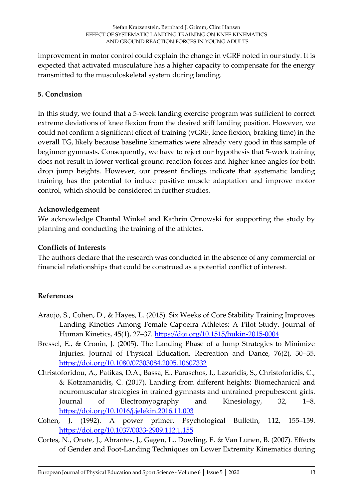improvement in motor control could explain the change in vGRF noted in our study. It is expected that activated musculature has a higher capacity to compensate for the energy transmitted to the musculoskeletal system during landing.

# **5. Conclusion**

In this study, we found that a 5-week landing exercise program was sufficient to correct extreme deviations of knee flexion from the desired stiff landing position. However, we could not confirm a significant effect of training (vGRF, knee flexion, braking time) in the overall TG, likely because baseline kinematics were already very good in this sample of beginner gymnasts. Consequently, we have to reject our hypothesis that 5-week training does not result in lower vertical ground reaction forces and higher knee angles for both drop jump heights. However, our present findings indicate that systematic landing training has the potential to induce positive muscle adaptation and improve motor control, which should be considered in further studies.

#### **Acknowledgement**

We acknowledge Chantal Winkel and Kathrin Ornowski for supporting the study by planning and conducting the training of the athletes.

# **Conflicts of Interests**

The authors declare that the research was conducted in the absence of any commercial or financial relationships that could be construed as a potential conflict of interest.

# **References**

- Araujo, S., Cohen, D., & Hayes, L. (2015). Six Weeks of Core Stability Training Improves Landing Kinetics Among Female Capoeira Athletes: A Pilot Study. Journal of Human Kinetics, 45(1), 27–37.<https://doi.org/10.1515/hukin-2015-0004>
- Bressel, E., & Cronin, J. (2005). The Landing Phase of a Jump Strategies to Minimize Injuries. Journal of Physical Education, Recreation and Dance, 76(2), 30–35. <https://doi.org/10.1080/07303084.2005.10607332>
- Christoforidou, Α., Patikas, D.A., Bassa, E., Paraschos, I., Lazaridis, S., Christoforidis, C., & Kotzamanidis, C. (2017). Landing from different heights: Biomechanical and neuromuscular strategies in trained gymnasts and untrained prepubescent girls. Journal of Electromyography and Kinesiology, 32, 1–8. <https://doi.org/10.1016/j.jelekin.2016.11.003>
- Cohen, J. (1992). A power primer. Psychological Bulletin, 112, 155–159. <https://doi.org/10.1037/0033-2909.112.1.155>
- Cortes, N., Onate, J., Abrantes, J., Gagen, L., Dowling, E. & Van Lunen, B. (2007). Effects of Gender and Foot-Landing Techniques on Lower Extremity Kinematics during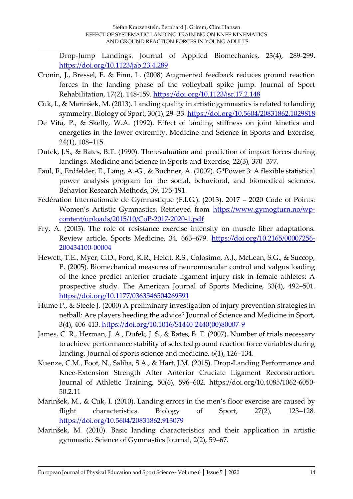Drop-Jump Landings. Journal of Applied Biomechanics, 23(4), 289-299. <https://doi.org/10.1123/jab.23.4.289>

- Cronin, J., Bressel, E. & Finn, L. (2008) Augmented feedback reduces ground reaction forces in the landing phase of the volleyball spike jump. Journal of Sport Rehabilitation, 17(2), 148-159.<https://doi.org/10.1123/jsr.17.2.148>
- Čuk, I., & Marinšek, M. (2013). Landing quality in artistic gymnastics is related to landing symmetry. Biology of Sport, 30(1), 29–33[. https://doi.org/10.5604/20831862.1029818](https://doi.org/10.5604/20831862.1029818)
- De Vita, P., & Skelly, W.A. (1992). Effect of landing stiffness on joint kinetics and energetics in the lower extremity. Medicine and Science in Sports and Exercise, 24(1), 108–115.
- Dufek, J.S., & Bates, B.T. (1990). The evaluation and prediction of impact forces during landings. Medicine and Science in Sports and Exercise, 22(3), 370–377.
- Faul, F., Erdfelder, E., Lang, A.-G., & Buchner, A. (2007). G\*Power 3: A flexible statistical power analysis program for the social, behavioral, and biomedical sciences. Behavior Research Methods, 39, 175-191.
- Fédération Internationale de Gymnastique (F.I.G.). (2013). 2017 2020 Code of Points: Women's Artistic Gymnastics. Retrieved from [https://www.gymogturn.no/wp](https://www.gymogturn.no/wp-content/uploads/2015/10/CoP-2017-2020-1.pdf)[content/uploads/2015/10/CoP-2017-2020-1.pdf](https://www.gymogturn.no/wp-content/uploads/2015/10/CoP-2017-2020-1.pdf)
- Fry, A. (2005). The role of resistance exercise intensity on muscle fiber adaptations. Review article. Sports Medicine, 34, 663–679. [https://doi.org/10.2165/00007256-](https://doi.org/10.2165/00007256-200434100-00004) [200434100-00004](https://doi.org/10.2165/00007256-200434100-00004)
- Hewett, T.E., Myer, G.D., Ford, K.R., Heidt, R.S., Colosimo, A.J., McLean, S.G., & Succop, P. (2005). Biomechanical measures of neuromuscular control and valgus loading of the knee predict anterior cruciate ligament injury risk in female athletes: A prospective study. The American Journal of Sports Medicine, 33(4), 492–501. <https://doi.org/10.1177/0363546504269591>
- Hume P., & Steele J. (2000) A preliminary investigation of injury prevention strategies in netball: Are players heeding the advice? Journal of Science and Medicine in Sport, 3(4), 406-413. [https://doi.org/10.1016/S1440-2440\(00\)80007-9](https://doi.org/10.1016/S1440-2440(00)80007-9)
- James, C. R., Herman, J. A., Dufek, J. S., & Bates, B. T. (2007). Number of trials necessary to achieve performance stability of selected ground reaction force variables during landing. Journal of sports science and medicine, 6(1), 126–134.
- Kuenze, C.M., Foot, N., Saliba, S.A., & Hart, J.M. (2015). Drop-Landing Performance and Knee-Extension Strength After Anterior Cruciate Ligament Reconstruction. Journal of Athletic Training, 50(6), 596–602. https://doi.org/10.4085/1062-6050- 50.2.11
- Marinšek, M., & Cuk, I. (2010). Landing errors in the men's floor exercise are caused by flight characteristics. Biology of Sport, 27(2), 123–128. <https://doi.org/10.5604/20831862.913079>
- Marinšek, M. (2010). Basic landing characteristics and their application in artistic gymnastic. Science of Gymnastics Journal, 2(2), 59–67.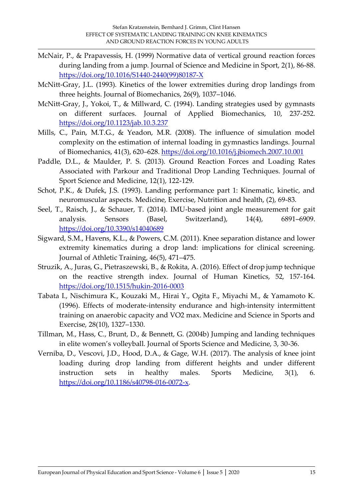- McNair, P., & Prapavessis, H. (1999) Normative data of vertical ground reaction forces during landing from a jump. Journal of Science and Medicine in Sport, 2(1), 86-88. [https://doi.org/10.1016/S1440-2440\(99\)80187-X](https://doi.org/10.1016/S1440-2440(99)80187-X)
- McNitt-Gray, J.L. (1993). Kinetics of the lower extremities during drop landings from three heights. Journal of Biomechanics, 26(9), 1037–1046.
- McNitt-Gray, J., Yokoi, T., & Millward, C. (1994). Landing strategies used by gymnasts on different surfaces. Journal of Applied Biomechanics, 10, 237-252. <https://doi.org/10.1123/jab.10.3.237>
- Mills, C., Pain, M.T.G., & Yeadon, M.R. (2008). The influence of simulation model complexity on the estimation of internal loading in gymnastics landings. Journal of Biomechanics, 41(3), 620–628.<https://doi.org/10.1016/j.jbiomech.2007.10.001>
- Paddle, D.L., & Maulder, P. S. (2013). Ground Reaction Forces and Loading Rates Associated with Parkour and Traditional Drop Landing Techniques. Journal of Sport Science and Medicine, 12(1), 122-129.
- Schot, P.K., & Dufek, J.S. (1993). Landing performance part 1: Kinematic, kinetic, and neuromuscular aspects. Medicine, Exercise, Nutrition and health, (2), 69-83.
- Seel, T., Raisch, J., & Schauer, T. (2014). IMU-based joint angle measurement for gait analysis. Sensors (Basel, Switzerland), 14(4), 6891–6909. <https://doi.org/10.3390/s14040689>
- Sigward, S.M., Havens, K.L., & Powers, C.M. (2011). Knee separation distance and lower extremity kinematics during a drop land: implications for clinical screening. Journal of Athletic Training, 46(5), 471–475.
- Struzik, A., Juras, G., Pietraszewski, B., & Rokita, A. (2016). Effect of drop jump technique on the reactive strength index. Journal of Human Kinetics, 52, 157-164. <https://doi.org/10.1515/hukin-2016-0003>
- Tabata I., Nischimura K., Kouzaki M., Hirai Y., Ogita F., Miyachi M., & Yamamoto K. (1996). Effects of moderate-intensity endurance and high-intensity intermittent training on anaerobic capacity and VO2 max. Medicine and Science in Sports and Exercise, 28(10), 1327–1330.
- Tillman, M., Hass, C., Brunt, D., & Bennett, G. (2004b) Jumping and landing techniques in elite women's volleyball. Journal of Sports Science and Medicine, 3, 30-36.
- Verniba, D., Vescovi, J.D., Hood, D.A., & Gage, W.H. (2017). The analysis of knee joint loading during drop landing from different heights and under different instruction sets in healthy males. Sports Medicine, 3(1), 6. [https://doi.org/10.1186/s40798-016-0072-x.](https://doi.org/10.1186/s40798-016-0072-x)